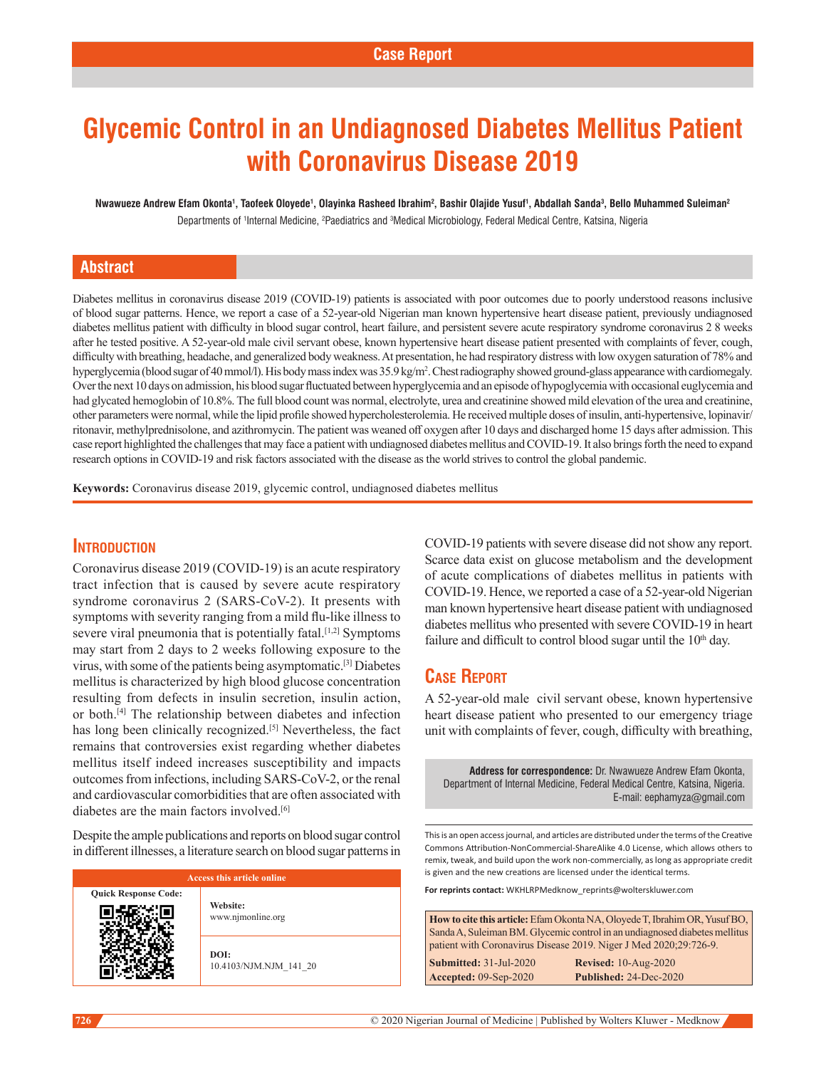# **Glycemic Control in an Undiagnosed Diabetes Mellitus Patient with Coronavirus Disease 2019**

**Nwawueze Andrew Efam Okonta1 , Taofeek Oloyede1 , Olayinka Rasheed Ibrahim2 , Bashir Olajide Yusuf1 , Abdallah Sanda3 , Bello Muhammed Suleiman2** Departments of <sup>1</sup>Internal Medicine, <sup>2</sup>Paediatrics and <sup>3</sup>Medical Microbiology, Federal Medical Centre, Katsina, Nigeria

## **Abstract**

Diabetes mellitus in coronavirus disease 2019 (COVID-19) patients is associated with poor outcomes due to poorly understood reasons inclusive of blood sugar patterns. Hence, we report a case of a 52‑year‑old Nigerian man known hypertensive heart disease patient, previously undiagnosed diabetes mellitus patient with difficulty in blood sugar control, heart failure, and persistent severe acute respiratory syndrome coronavirus 2 8 weeks after he tested positive. A 52‑year‑old male civil servant obese, known hypertensive heart disease patient presented with complaints of fever, cough, difficulty with breathing, headache, and generalized body weakness. At presentation, he had respiratory distress with low oxygen saturation of 78% and hyperglycemia (blood sugar of 40 mmol/l). His body mass index was 35.9 kg/m<sup>2</sup>. Chest radiography showed ground-glass appearance with cardiomegaly. Over the next 10 days on admission, his blood sugar fluctuated between hyperglycemia and an episode of hypoglycemia with occasional euglycemia and had glycated hemoglobin of 10.8%. The full blood count was normal, electrolyte, urea and creatinine showed mild elevation of the urea and creatinine, other parameters were normal, while the lipid profile showed hypercholesterolemia. He received multiple doses of insulin, anti‑hypertensive, lopinavir/ ritonavir, methylprednisolone, and azithromycin. The patient was weaned off oxygen after 10 days and discharged home 15 days after admission. This case report highlighted the challenges that may face a patient with undiagnosed diabetes mellitus and COVID-19. It also brings forth the need to expand research options in COVID-19 and risk factors associated with the disease as the world strives to control the global pandemic.

**Keywords:** Coronavirus disease 2019, glycemic control, undiagnosed diabetes mellitus

#### **Introduction**

Coronavirus disease 2019 (COVID‑19) is an acute respiratory tract infection that is caused by severe acute respiratory syndrome coronavirus 2 (SARS-CoV-2). It presents with symptoms with severity ranging from a mild flu-like illness to severe viral pneumonia that is potentially fatal.<sup>[1,2]</sup> Symptoms may start from 2 days to 2 weeks following exposure to the virus, with some of the patients being asymptomatic.[3] Diabetes mellitus is characterized by high blood glucose concentration resulting from defects in insulin secretion, insulin action, or both.[4] The relationship between diabetes and infection has long been clinically recognized.<sup>[5]</sup> Nevertheless, the fact remains that controversies exist regarding whether diabetes mellitus itself indeed increases susceptibility and impacts outcomes from infections, including SARS-CoV-2, or the renal and cardiovascular comorbidities that are often associated with diabetes are the main factors involved.<sup>[6]</sup>

Despite the ample publications and reports on blood sugar control in different illnesses, a literature search on blood sugar patterns in

| Access this article online  |                                      |  |
|-----------------------------|--------------------------------------|--|
| <b>Quick Response Code:</b> | <b>Website:</b><br>www.njmonline.org |  |
|                             | DOI:<br>10.4103/NJM.NJM 141 20       |  |

COVID‑19 patients with severe disease did not show any report. Scarce data exist on glucose metabolism and the development of acute complications of diabetes mellitus in patients with COVID‑19. Hence, we reported a case of a 52‑year‑old Nigerian man known hypertensive heart disease patient with undiagnosed diabetes mellitus who presented with severe COVID-19 in heart failure and difficult to control blood sugar until the  $10<sup>th</sup>$  day.

## **Case Report**

A 52‑year‑old male civil servant obese, known hypertensive heart disease patient who presented to our emergency triage unit with complaints of fever, cough, difficulty with breathing,

**Address for correspondence:** Dr. Nwawueze Andrew Efam Okonta, Department of Internal Medicine, Federal Medical Centre, Katsina, Nigeria. E-mail: eephamyza@gmail.com

This is an open access journal, and articles are distributed under the terms of the Creative Commons Attribution‑NonCommercial‑ShareAlike 4.0 License, which allows others to remix, tweak, and build upon the work non‑commercially, as long as appropriate credit is given and the new creations are licensed under the identical terms.

**For reprints contact:** WKHLRPMedknow\_reprints@wolterskluwer.com

**How to cite this article:** Efam Okonta NA, Oloyede T, Ibrahim OR, Yusuf BO, Sanda A, Suleiman BM. Glycemic control in an undiagnosed diabetes mellitus patient with Coronavirus Disease 2019. Niger J Med 2020;29:726-9.

**Submitted:** 31-Jul-2020 **Revised:** 10-Aug-2020 **Accepted:** 09-Sep-2020 **Published:** 24-Dec-2020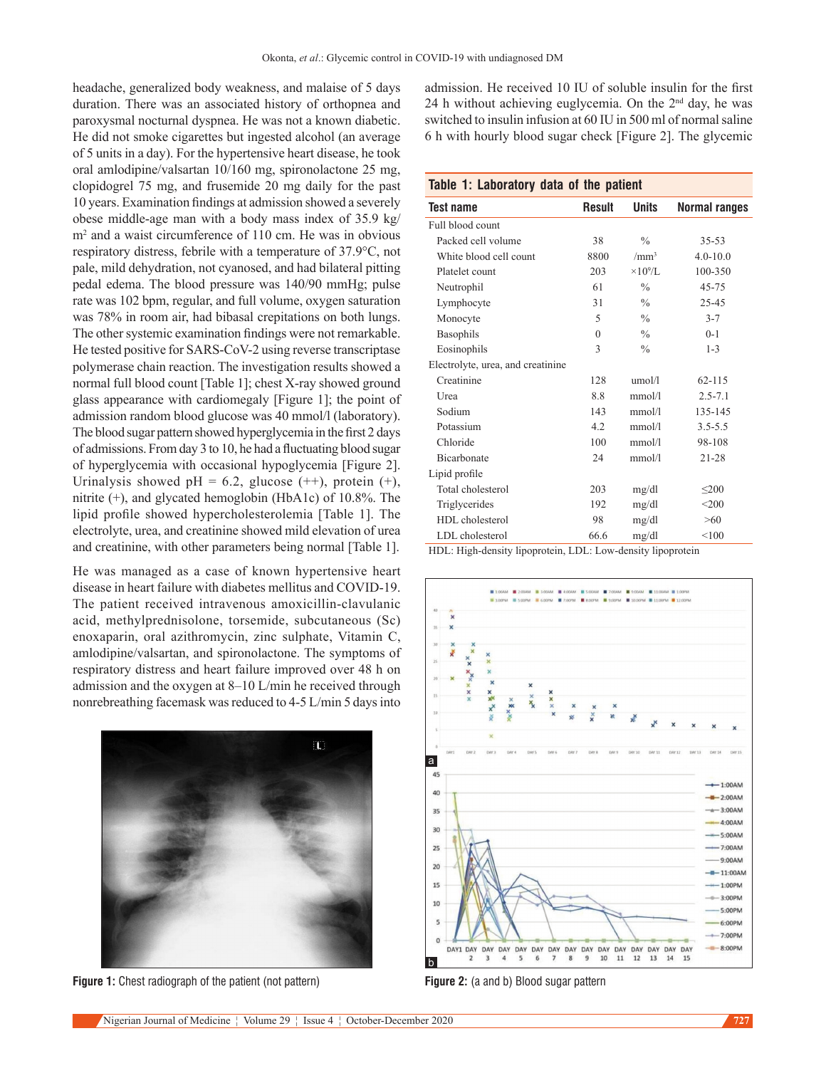headache, generalized body weakness, and malaise of 5 days duration. There was an associated history of orthopnea and paroxysmal nocturnal dyspnea. He was not a known diabetic. He did not smoke cigarettes but ingested alcohol (an average of 5 units in a day). For the hypertensive heart disease, he took oral amlodipine/valsartan 10/160 mg, spironolactone 25 mg, clopidogrel 75 mg, and frusemide 20 mg daily for the past 10 years. Examination findings at admission showed a severely obese middle‑age man with a body mass index of 35.9 kg/ m2 and a waist circumference of 110 cm. He was in obvious respiratory distress, febrile with a temperature of 37.9°C, not pale, mild dehydration, not cyanosed, and had bilateral pitting pedal edema. The blood pressure was 140/90 mmHg; pulse rate was 102 bpm, regular, and full volume, oxygen saturation was 78% in room air, had bibasal crepitations on both lungs. The other systemic examination findings were not remarkable. He tested positive for SARS-CoV-2 using reverse transcriptase polymerase chain reaction. The investigation results showed a normal full blood count [Table 1]; chest X-ray showed ground glass appearance with cardiomegaly [Figure 1]; the point of admission random blood glucose was 40 mmol/l (laboratory). The blood sugar pattern showed hyperglycemia in the first 2 days of admissions. From day 3 to 10, he had a fluctuating blood sugar of hyperglycemia with occasional hypoglycemia [Figure 2]. Urinalysis showed pH = 6.2, glucose  $(++)$ , protein  $(+)$ , nitrite (+), and glycated hemoglobin (HbA1c) of 10.8%. The lipid profile showed hypercholesterolemia [Table 1]. The electrolyte, urea, and creatinine showed mild elevation of urea and creatinine, with other parameters being normal [Table 1].

He was managed as a case of known hypertensive heart disease in heart failure with diabetes mellitus and COVID‑19. The patient received intravenous amoxicillin-clavulanic acid, methylprednisolone, torsemide, subcutaneous (Sc) enoxaparin, oral azithromycin, zinc sulphate, Vitamin C, amlodipine/valsartan, and spironolactone. The symptoms of respiratory distress and heart failure improved over 48 h on admission and the oxygen at 8–10 L/min he received through nonrebreathing facemask was reduced to 4‑5 L/min 5 days into



**Figure 1:** Chest radiograph of the patient (not pattern)

admission. He received 10 IU of soluble insulin for the first 24 h without achieving euglycemia. On the  $2<sup>nd</sup>$  day, he was switched to insulin infusion at 60 IU in 500 ml of normal saline 6 h with hourly blood sugar check [Figure 2]. The glycemic

#### **Table 1: Laboratory data of the patient**

| <b>Test name</b>                  | <b>Result</b> | <b>Units</b>     | Normal ranges |
|-----------------------------------|---------------|------------------|---------------|
| Full blood count                  |               |                  |               |
| Packed cell volume                | 38            | $\frac{0}{0}$    | $35 - 53$     |
| White blood cell count            | 8800          | /mm <sup>3</sup> | $4.0 - 10.0$  |
| Platelet count                    | 203           | $\times 10^9$ /L | 100-350       |
| Neutrophil                        | 61            | $\frac{0}{0}$    | $45 - 75$     |
| Lymphocyte                        | 31            | $\frac{0}{0}$    | 25-45         |
| Monocyte                          | 5             | $\frac{0}{0}$    | $3 - 7$       |
| Basophils                         | $\theta$      | $\frac{0}{0}$    | $0 - 1$       |
| Eosinophils                       | 3             | $\frac{0}{0}$    | $1 - 3$       |
| Electrolyte, urea, and creatinine |               |                  |               |
| Creatinine                        | 128           | umol/l           | $62 - 115$    |
| Urea                              | 8.8           | mmol/l           | $2.5 - 7.1$   |
| Sodium                            | 143           | mmol/l           | 135-145       |
| Potassium                         | 4.2           | mmol/l           | $3.5 - 5.5$   |
| Chloride                          | 100           | mmol/l           | 98-108        |
| <b>Bicarbonate</b>                | 24            | mmol/l           | $21 - 28$     |
| Lipid profile                     |               |                  |               |
| Total cholesterol                 | 203           | mg/dl            | $\leq 200$    |
| Triglycerides                     | 192           | mg/dl            | $<$ 200       |
| HDL cholesterol                   | 98            | mg/dl            | >60           |
| LDL cholesterol                   | 66.6          | mg/dl            | < 100         |

HDL: High-density lipoprotein, LDL: Low-density lipoprotein



**Figure 2:** (a and b) Blood sugar pattern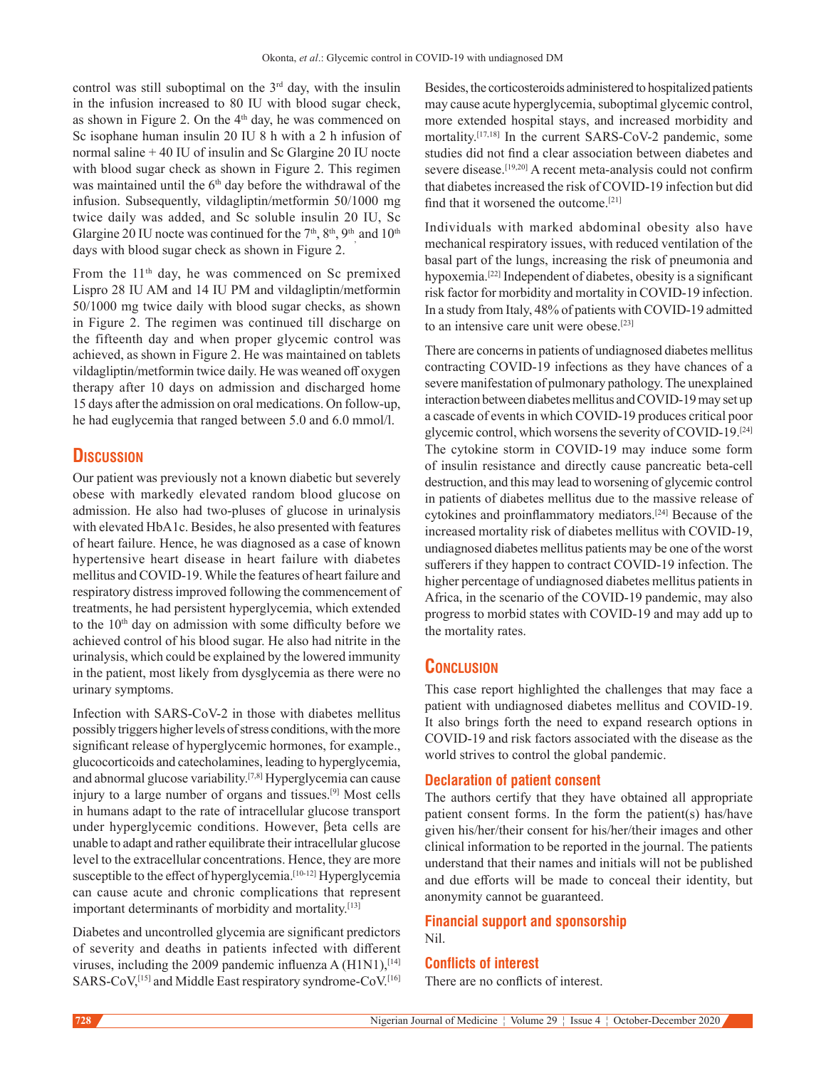control was still suboptimal on the  $3<sup>rd</sup>$  day, with the insulin in the infusion increased to 80 IU with blood sugar check, as shown in Figure 2. On the  $4<sup>th</sup>$  day, he was commenced on Sc isophane human insulin 20 IU 8 h with a 2 h infusion of normal saline + 40 IU of insulin and Sc Glargine 20 IU nocte with blood sugar check as shown in Figure 2. This regimen was maintained until the 6<sup>th</sup> day before the withdrawal of the infusion. Subsequently, vildagliptin/metformin 50/1000 mg twice daily was added, and Sc soluble insulin 20 IU, Sc Glargine 20 IU nocte was continued for the  $7<sup>th</sup>$ ,  $8<sup>th</sup>$ ,  $9<sup>th</sup>$  and  $10<sup>th</sup>$ days with blood sugar check as shown in Figure 2.

From the 11<sup>th</sup> day, he was commenced on Sc premixed Lispro 28 IU AM and 14 IU PM and vildagliptin/metformin 50/1000 mg twice daily with blood sugar checks, as shown in Figure 2. The regimen was continued till discharge on the fifteenth day and when proper glycemic control was achieved, as shown in Figure 2. He was maintained on tablets vildagliptin/metformin twice daily. He was weaned off oxygen therapy after 10 days on admission and discharged home 15 days after the admission on oral medications. On follow‑up, he had euglycemia that ranged between 5.0 and 6.0 mmol/l.

## **Discussion**

Our patient was previously not a known diabetic but severely obese with markedly elevated random blood glucose on admission. He also had two-pluses of glucose in urinalysis with elevated HbA1c. Besides, he also presented with features of heart failure. Hence, he was diagnosed as a case of known hypertensive heart disease in heart failure with diabetes mellitus and COVID‑19. While the features of heart failure and respiratory distress improved following the commencement of treatments, he had persistent hyperglycemia, which extended to the  $10<sup>th</sup>$  day on admission with some difficulty before we achieved control of his blood sugar. He also had nitrite in the urinalysis, which could be explained by the lowered immunity in the patient, most likely from dysglycemia as there were no urinary symptoms.

Infection with SARS-CoV-2 in those with diabetes mellitus possibly triggers higher levels of stress conditions, with the more significant release of hyperglycemic hormones, for example., glucocorticoids and catecholamines, leading to hyperglycemia, and abnormal glucose variability.[7,8] Hyperglycemia can cause injury to a large number of organs and tissues.[9] Most cells in humans adapt to the rate of intracellular glucose transport under hyperglycemic conditions. However, βeta cells are unable to adapt and rather equilibrate their intracellular glucose level to the extracellular concentrations. Hence, they are more susceptible to the effect of hyperglycemia.<sup>[10-12]</sup> Hyperglycemia can cause acute and chronic complications that represent important determinants of morbidity and mortality.<sup>[13]</sup>

Diabetes and uncontrolled glycemia are significant predictors of severity and deaths in patients infected with different viruses, including the 2009 pandemic influenza A  $(H1N1)$ ,  $[14]$ SARS-CoV,<sup>[15]</sup> and Middle East respiratory syndrome-CoV.<sup>[16]</sup> Besides, the corticosteroids administered to hospitalized patients may cause acute hyperglycemia, suboptimal glycemic control, more extended hospital stays, and increased morbidity and mortality.<sup>[17,18]</sup> In the current SARS-CoV-2 pandemic, some studies did not find a clear association between diabetes and severe disease.<sup>[19,20]</sup> A recent meta-analysis could not confirm that diabetes increased the risk of COVID-19 infection but did find that it worsened the outcome.[21]

Individuals with marked abdominal obesity also have mechanical respiratory issues, with reduced ventilation of the basal part of the lungs, increasing the risk of pneumonia and hypoxemia.[22] Independent of diabetes, obesity is a significant risk factor for morbidity and mortality in COVID‑19 infection. In a study from Italy, 48% of patients with COVID-19 admitted to an intensive care unit were obese.<sup>[23]</sup>

There are concerns in patients of undiagnosed diabetes mellitus contracting COVID-19 infections as they have chances of a severe manifestation of pulmonary pathology. The unexplained interaction between diabetes mellitus and COVID-19 may set up a cascade of events in which COVID‑19 produces critical poor glycemic control, which worsens the severity of COVID-19.<sup>[24]</sup> The cytokine storm in COVID-19 may induce some form of insulin resistance and directly cause pancreatic beta‑cell destruction, and this may lead to worsening of glycemic control in patients of diabetes mellitus due to the massive release of cytokines and proinflammatory mediators.[24] Because of the increased mortality risk of diabetes mellitus with COVID-19, undiagnosed diabetes mellitus patients may be one of the worst sufferers if they happen to contract COVID-19 infection. The higher percentage of undiagnosed diabetes mellitus patients in Africa, in the scenario of the COVID-19 pandemic, may also progress to morbid states with COVID‑19 and may add up to the mortality rates.

## **Conclusion**

This case report highlighted the challenges that may face a patient with undiagnosed diabetes mellitus and COVID-19. It also brings forth the need to expand research options in COVID-19 and risk factors associated with the disease as the world strives to control the global pandemic.

## **Declaration of patient consent**

The authors certify that they have obtained all appropriate patient consent forms. In the form the patient(s) has/have given his/her/their consent for his/her/their images and other clinical information to be reported in the journal. The patients understand that their names and initials will not be published and due efforts will be made to conceal their identity, but anonymity cannot be guaranteed.

## **Financial support and sponsorship** Nil.

## **Conflicts of interest**

There are no conflicts of interest.